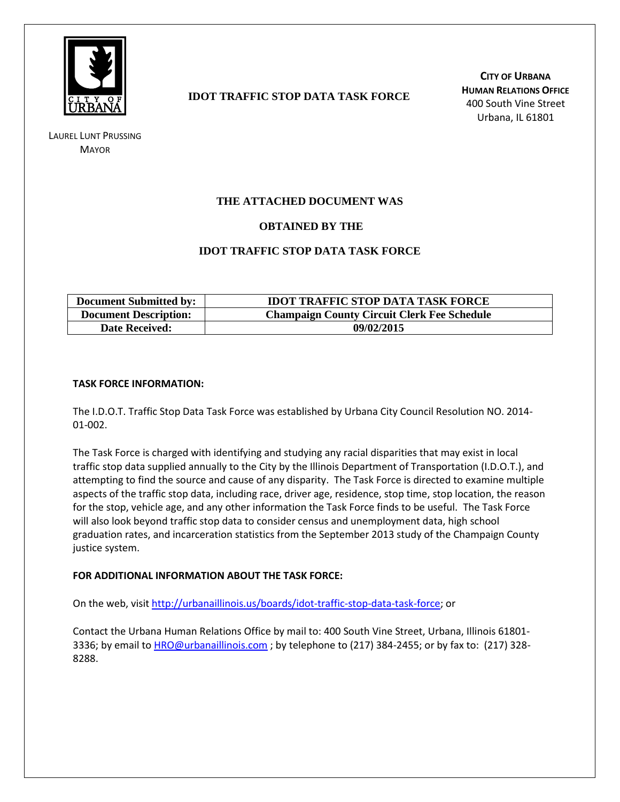

LAUREL LUNT PRUSSING **MAYOR** 

### **IDOT TRAFFIC STOP DATA TASK FORCE**

**CITY OF URBANA HUMAN RELATIONS OFFICE** 400 South Vine Street Urbana, IL 61801

### **THE ATTACHED DOCUMENT WAS**

### **OBTAINED BY THE**

### **IDOT TRAFFIC STOP DATA TASK FORCE**

| <b>Document Submitted by:</b> | <b>IDOT TRAFFIC STOP DATA TASK FORCE</b>           |
|-------------------------------|----------------------------------------------------|
| <b>Document Description:</b>  | <b>Champaign County Circuit Clerk Fee Schedule</b> |
| <b>Date Received:</b>         | 09/02/2015                                         |

### **TASK FORCE INFORMATION:**

The I.D.O.T. Traffic Stop Data Task Force was established by Urbana City Council Resolution NO. 2014- 01-002.

The Task Force is charged with identifying and studying any racial disparities that may exist in local traffic stop data supplied annually to the City by the Illinois Department of Transportation (I.D.O.T.), and attempting to find the source and cause of any disparity. The Task Force is directed to examine multiple aspects of the traffic stop data, including race, driver age, residence, stop time, stop location, the reason for the stop, vehicle age, and any other information the Task Force finds to be useful. The Task Force will also look beyond traffic stop data to consider census and unemployment data, high school graduation rates, and incarceration statistics from the September 2013 study of the Champaign County justice system.

### **FOR ADDITIONAL INFORMATION ABOUT THE TASK FORCE:**

On the web, visit [http://urbanaillinois.us/boards/idot-traffic-stop-data-task-force;](http://urbanaillinois.us/boards/idot-traffic-stop-data-task-force) or

Contact the Urbana Human Relations Office by mail to: 400 South Vine Street, Urbana, Illinois 61801- 3336; by email to [HRO@urbanaillinois.com](mailto:HRO@urbanaillinois.com); by telephone to (217) 384-2455; or by fax to: (217) 328-8288.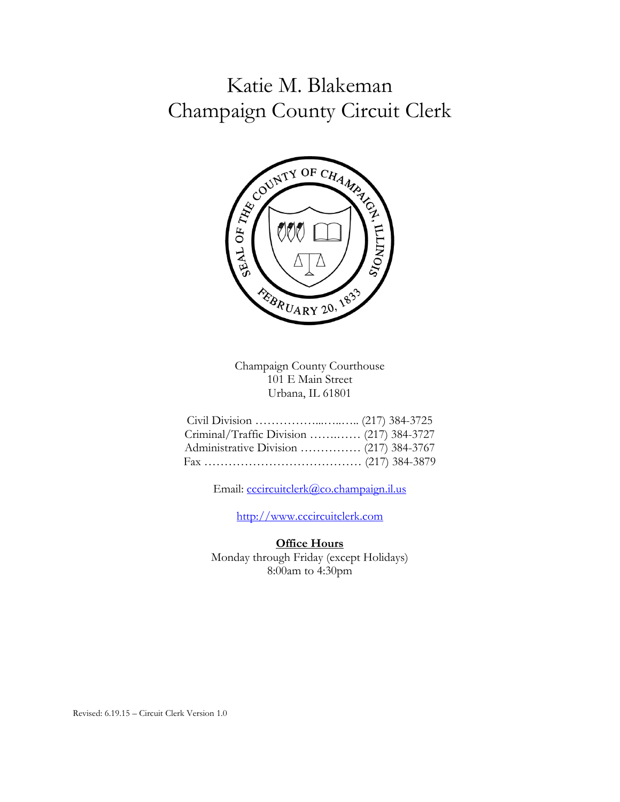# Katie M. Blakeman Champaign County Circuit Clerk



Champaign County Courthouse 101 E Main Street Urbana, IL 61801

| Criminal/Traffic Division  (217) 384-3727 |  |
|-------------------------------------------|--|
|                                           |  |
|                                           |  |

Email: cccircuitclerk@co.champaign.il.us

http://www.cccircuitclerk.com

### **Office Hours**

Monday through Friday (except Holidays) 8:00am to 4:30pm

Revised: 6.19.15 – Circuit Clerk Version 1.0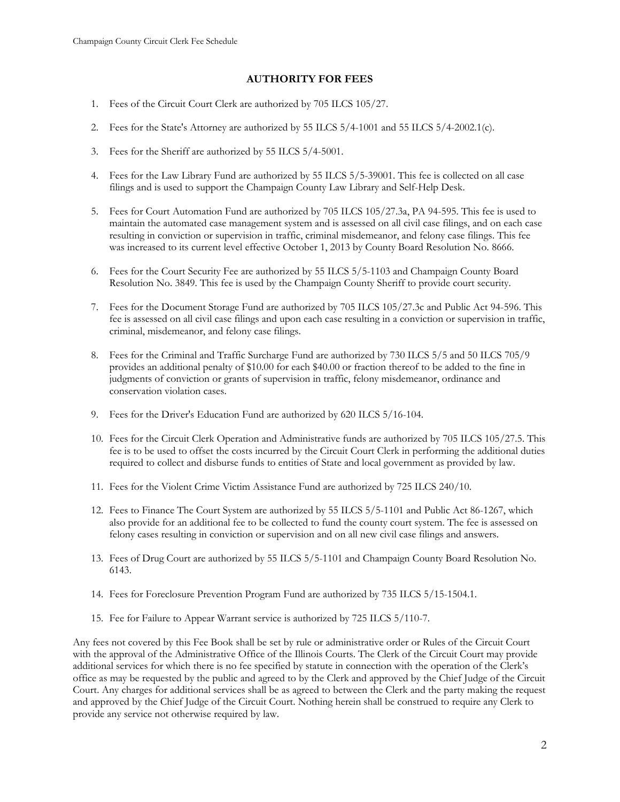### **AUTHORITY FOR FEES**

- 1. Fees of the Circuit Court Clerk are authorized by 705 ILCS 105/27.
- 2. Fees for the State's Attorney are authorized by 55 ILCS 5/4-1001 and 55 ILCS 5/4-2002.1(c).
- 3. Fees for the Sheriff are authorized by 55 ILCS 5/4-5001.
- 4. Fees for the Law Library Fund are authorized by 55 ILCS 5/5-39001. This fee is collected on all case filings and is used to support the Champaign County Law Library and Self-Help Desk.
- 5. Fees for Court Automation Fund are authorized by 705 ILCS 105/27.3a, PA 94-595. This fee is used to maintain the automated case management system and is assessed on all civil case filings, and on each case resulting in conviction or supervision in traffic, criminal misdemeanor, and felony case filings. This fee was increased to its current level effective October 1, 2013 by County Board Resolution No. 8666.
- 6. Fees for the Court Security Fee are authorized by 55 ILCS 5/5-1103 and Champaign County Board Resolution No. 3849. This fee is used by the Champaign County Sheriff to provide court security.
- 7. Fees for the Document Storage Fund are authorized by 705 ILCS 105/27.3c and Public Act 94-596. This fee is assessed on all civil case filings and upon each case resulting in a conviction or supervision in traffic, criminal, misdemeanor, and felony case filings.
- 8. Fees for the Criminal and Traffic Surcharge Fund are authorized by 730 ILCS 5/5 and 50 ILCS 705/9 provides an additional penalty of \$10.00 for each \$40.00 or fraction thereof to be added to the fine in judgments of conviction or grants of supervision in traffic, felony misdemeanor, ordinance and conservation violation cases.
- 9. Fees for the Driver's Education Fund are authorized by 620 ILCS 5/16-104.
- 10. Fees for the Circuit Clerk Operation and Administrative funds are authorized by 705 ILCS 105/27.5. This fee is to be used to offset the costs incurred by the Circuit Court Clerk in performing the additional duties required to collect and disburse funds to entities of State and local government as provided by law.
- 11. Fees for the Violent Crime Victim Assistance Fund are authorized by 725 ILCS 240/10.
- 12. Fees to Finance The Court System are authorized by 55 ILCS 5/5-1101 and Public Act 86-1267, which also provide for an additional fee to be collected to fund the county court system. The fee is assessed on felony cases resulting in conviction or supervision and on all new civil case filings and answers.
- 13. Fees of Drug Court are authorized by 55 ILCS 5/5-1101 and Champaign County Board Resolution No. 6143.
- 14. Fees for Foreclosure Prevention Program Fund are authorized by 735 ILCS 5/15-1504.1.
- 15. Fee for Failure to Appear Warrant service is authorized by 725 ILCS 5/110-7.

Any fees not covered by this Fee Book shall be set by rule or administrative order or Rules of the Circuit Court with the approval of the Administrative Office of the Illinois Courts. The Clerk of the Circuit Court may provide additional services for which there is no fee specified by statute in connection with the operation of the Clerk's office as may be requested by the public and agreed to by the Clerk and approved by the Chief Judge of the Circuit Court. Any charges for additional services shall be as agreed to between the Clerk and the party making the request and approved by the Chief Judge of the Circuit Court. Nothing herein shall be construed to require any Clerk to provide any service not otherwise required by law.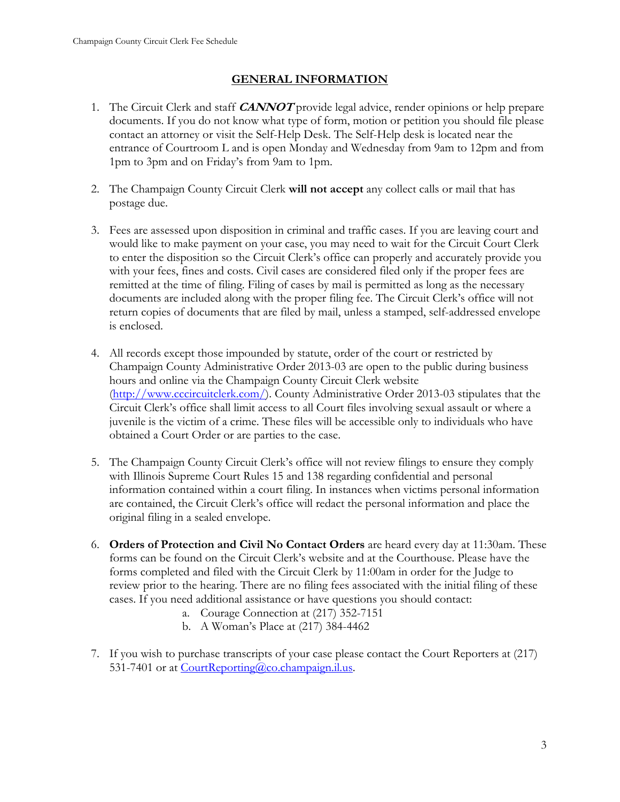# **GENERAL INFORMATION**

- 1. The Circuit Clerk and staff **CANNOT** provide legal advice, render opinions or help prepare documents. If you do not know what type of form, motion or petition you should file please contact an attorney or visit the Self-Help Desk. The Self-Help desk is located near the entrance of Courtroom L and is open Monday and Wednesday from 9am to 12pm and from 1pm to 3pm and on Friday's from 9am to 1pm.
- 2. The Champaign County Circuit Clerk **will not accept** any collect calls or mail that has postage due.
- 3. Fees are assessed upon disposition in criminal and traffic cases. If you are leaving court and would like to make payment on your case, you may need to wait for the Circuit Court Clerk to enter the disposition so the Circuit Clerk's office can properly and accurately provide you with your fees, fines and costs. Civil cases are considered filed only if the proper fees are remitted at the time of filing. Filing of cases by mail is permitted as long as the necessary documents are included along with the proper filing fee. The Circuit Clerk's office will not return copies of documents that are filed by mail, unless a stamped, self-addressed envelope is enclosed.
- 4. All records except those impounded by statute, order of the court or restricted by Champaign County Administrative Order 2013-03 are open to the public during business hours and online via the Champaign County Circuit Clerk website (http://www.cccircuitclerk.com/). County Administrative Order 2013-03 stipulates that the Circuit Clerk's office shall limit access to all Court files involving sexual assault or where a juvenile is the victim of a crime. These files will be accessible only to individuals who have obtained a Court Order or are parties to the case.
- 5. The Champaign County Circuit Clerk's office will not review filings to ensure they comply with Illinois Supreme Court Rules 15 and 138 regarding confidential and personal information contained within a court filing. In instances when victims personal information are contained, the Circuit Clerk's office will redact the personal information and place the original filing in a sealed envelope.
- 6. **Orders of Protection and Civil No Contact Orders** are heard every day at 11:30am. These forms can be found on the Circuit Clerk's website and at the Courthouse. Please have the forms completed and filed with the Circuit Clerk by 11:00am in order for the Judge to review prior to the hearing. There are no filing fees associated with the initial filing of these cases. If you need additional assistance or have questions you should contact:
	- a. Courage Connection at (217) 352-7151
	- b. A Woman's Place at (217) 384-4462
- 7. If you wish to purchase transcripts of your case please contact the Court Reporters at (217) 531-7401 or at CourtReporting@co.champaign.il.us.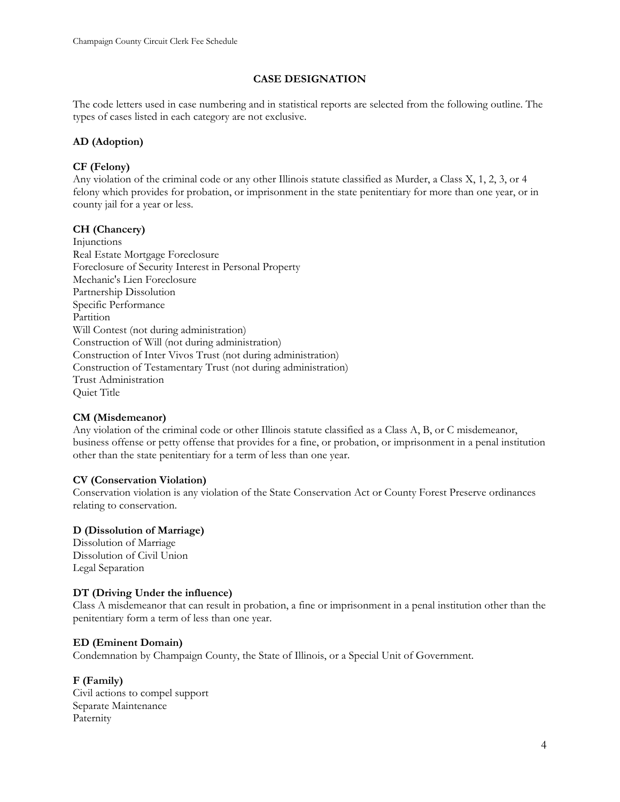### **CASE DESIGNATION**

The code letters used in case numbering and in statistical reports are selected from the following outline. The types of cases listed in each category are not exclusive.

### **AD (Adoption)**

### **CF (Felony)**

Any violation of the criminal code or any other Illinois statute classified as Murder, a Class X, 1, 2, 3, or 4 felony which provides for probation, or imprisonment in the state penitentiary for more than one year, or in county jail for a year or less.

### **CH (Chancery)**

Injunctions Real Estate Mortgage Foreclosure Foreclosure of Security Interest in Personal Property Mechanic's Lien Foreclosure Partnership Dissolution Specific Performance Partition Will Contest (not during administration) Construction of Will (not during administration) Construction of Inter Vivos Trust (not during administration) Construction of Testamentary Trust (not during administration) Trust Administration Quiet Title

#### **CM (Misdemeanor)**

Any violation of the criminal code or other Illinois statute classified as a Class A, B, or C misdemeanor, business offense or petty offense that provides for a fine, or probation, or imprisonment in a penal institution other than the state penitentiary for a term of less than one year.

#### **CV (Conservation Violation)**

Conservation violation is any violation of the State Conservation Act or County Forest Preserve ordinances relating to conservation.

#### **D (Dissolution of Marriage)**

Dissolution of Marriage Dissolution of Civil Union Legal Separation

### **DT (Driving Under the influence)**

Class A misdemeanor that can result in probation, a fine or imprisonment in a penal institution other than the penitentiary form a term of less than one year.

#### **ED (Eminent Domain)**

Condemnation by Champaign County, the State of Illinois, or a Special Unit of Government.

#### **F (Family)**

Civil actions to compel support Separate Maintenance Paternity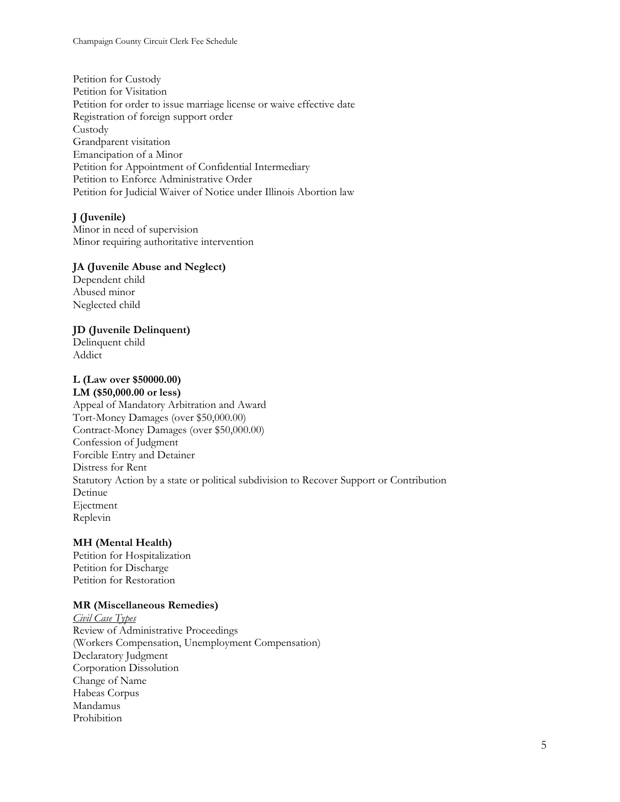Petition for Custody Petition for Visitation Petition for order to issue marriage license or waive effective date Registration of foreign support order Custody Grandparent visitation Emancipation of a Minor Petition for Appointment of Confidential Intermediary Petition to Enforce Administrative Order Petition for Judicial Waiver of Notice under Illinois Abortion law

### **J (Juvenile)**

Minor in need of supervision Minor requiring authoritative intervention

#### **JA (Juvenile Abuse and Neglect)**

Dependent child Abused minor Neglected child

#### **JD (Juvenile Delinquent)**

Delinquent child Addict

#### **L (Law over \$50000.00) LM (\$50,000.00 or less)**

Appeal of Mandatory Arbitration and Award Tort-Money Damages (over \$50,000.00) Contract-Money Damages (over \$50,000.00) Confession of Judgment Forcible Entry and Detainer Distress for Rent Statutory Action by a state or political subdivision to Recover Support or Contribution Detinue Ejectment Replevin

#### **MH (Mental Health)**

Petition for Hospitalization Petition for Discharge Petition for Restoration

#### **MR (Miscellaneous Remedies)**

*Civil Case Types*  Review of Administrative Proceedings (Workers Compensation, Unemployment Compensation) Declaratory Judgment Corporation Dissolution Change of Name Habeas Corpus Mandamus Prohibition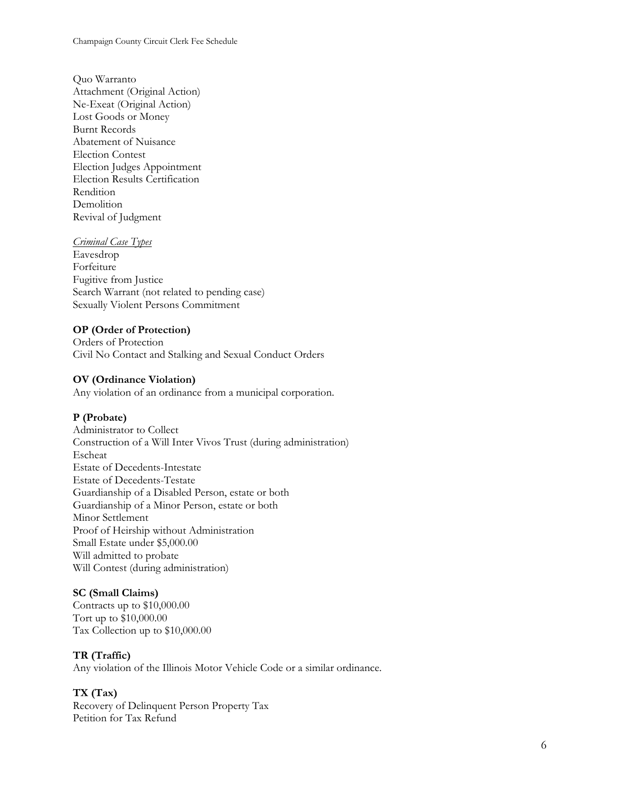Quo Warranto Attachment (Original Action) Ne-Exeat (Original Action) Lost Goods or Money Burnt Records Abatement of Nuisance Election Contest Election Judges Appointment Election Results Certification Rendition Demolition Revival of Judgment

#### *Criminal Case Types*

Eavesdrop Forfeiture Fugitive from Justice Search Warrant (not related to pending case) Sexually Violent Persons Commitment

#### **OP (Order of Protection)**

Orders of Protection Civil No Contact and Stalking and Sexual Conduct Orders

#### **OV (Ordinance Violation)**

Any violation of an ordinance from a municipal corporation.

#### **P (Probate)**

Administrator to Collect Construction of a Will Inter Vivos Trust (during administration) Escheat Estate of Decedents-Intestate Estate of Decedents-Testate Guardianship of a Disabled Person, estate or both Guardianship of a Minor Person, estate or both Minor Settlement Proof of Heirship without Administration Small Estate under \$5,000.00 Will admitted to probate Will Contest (during administration)

#### **SC (Small Claims)**

Contracts up to \$10,000.00 Tort up to \$10,000.00 Tax Collection up to \$10,000.00

#### **TR (Traffic)**

Any violation of the Illinois Motor Vehicle Code or a similar ordinance.

#### **TX (Tax)**

Recovery of Delinquent Person Property Tax Petition for Tax Refund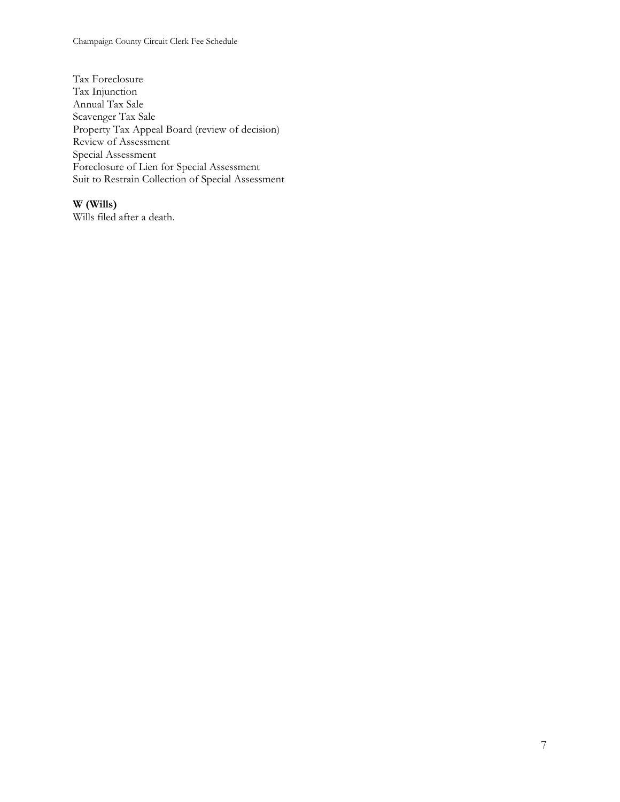Champaign County Circuit Clerk Fee Schedule

Tax Foreclosure Tax Injunction Annual Tax Sale Scavenger Tax Sale Property Tax Appeal Board (review of decision) Review of Assessment Special Assessment Foreclosure of Lien for Special Assessment Suit to Restrain Collection of Special Assessment

# **W (Wills)**

Wills filed after a death.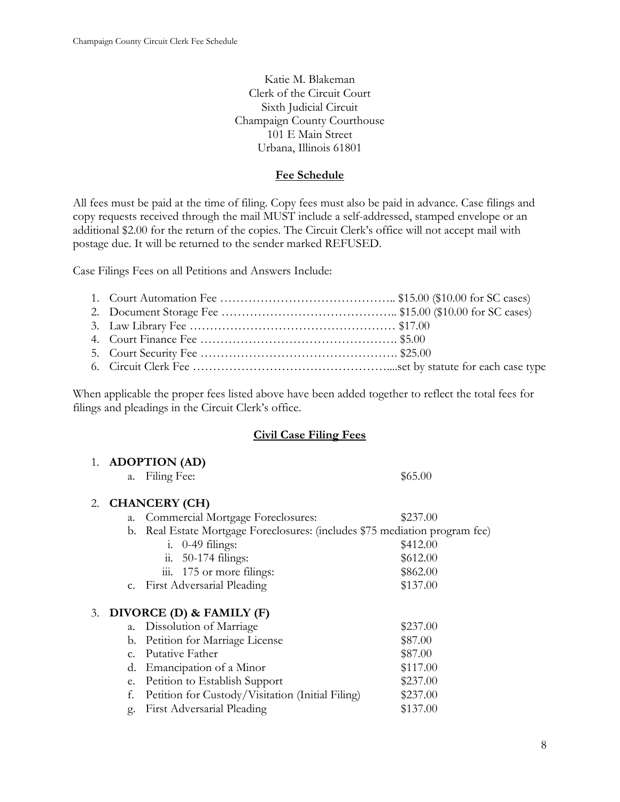Katie M. Blakeman Clerk of the Circuit Court Sixth Judicial Circuit Champaign County Courthouse 101 E Main Street Urbana, Illinois 61801

### **Fee Schedule**

All fees must be paid at the time of filing. Copy fees must also be paid in advance. Case filings and copy requests received through the mail MUST include a self-addressed, stamped envelope or an additional \$2.00 for the return of the copies. The Circuit Clerk's office will not accept mail with postage due. It will be returned to the sender marked REFUSED.

Case Filings Fees on all Petitions and Answers Include:

When applicable the proper fees listed above have been added together to reflect the total fees for filings and pleadings in the Circuit Clerk's office.

### **Civil Case Filing Fees**

|    |                | 1. ADOPTION (AD)                                                         |          |
|----|----------------|--------------------------------------------------------------------------|----------|
|    | a.             | Filing Fee:                                                              | \$65.00  |
| 2. |                | <b>CHANCERY (CH)</b>                                                     |          |
|    | a.             | Commercial Mortgage Foreclosures:                                        | \$237.00 |
|    | b.             | Real Estate Mortgage Foreclosures: (includes \$75 mediation program fee) |          |
|    |                | $\frac{1}{2}$ . 0-49 filings:                                            | \$412.00 |
|    |                | $\ddot{\text{h}}$ . 50-174 filings:                                      | \$612.00 |
|    |                | 175 or more filings:<br>111.                                             | \$862.00 |
|    |                | c. First Adversarial Pleading                                            | \$137.00 |
| 3. |                | DIVORCE (D) & FAMILY (F)                                                 |          |
|    | a.             | Dissolution of Marriage                                                  | \$237.00 |
|    | b.             | Petition for Marriage License                                            | \$87.00  |
|    | C <sub>1</sub> | Putative Father                                                          | \$87.00  |
|    | d.             | Emancipation of a Minor                                                  | \$117.00 |
|    | e.             | Petition to Establish Support                                            | \$237.00 |
|    | f.             | Petition for Custody/Visitation (Initial Filing)                         | \$237.00 |
|    | g.             | First Adversarial Pleading                                               | \$137.00 |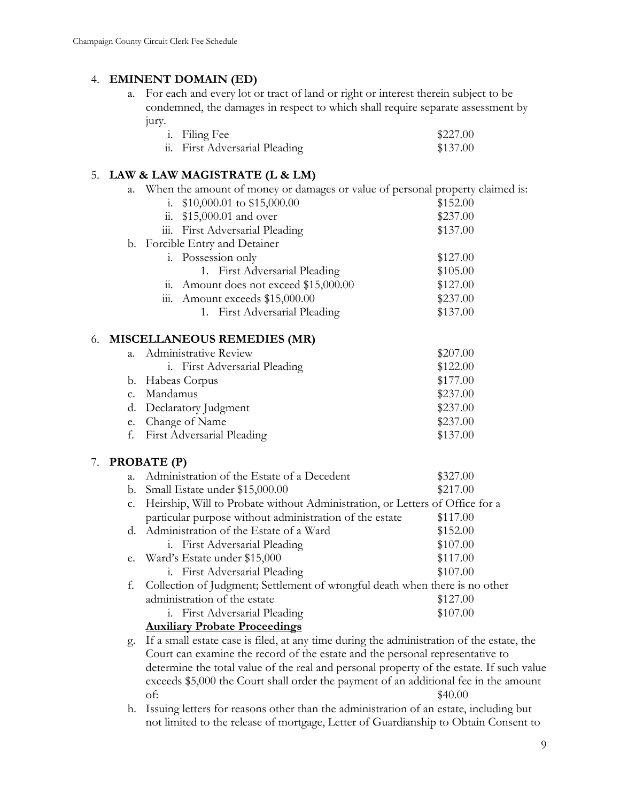# 4. **EMINENT DOMAIN (ED)**

a. For each and every lot or tract of land or right or interest therein subject to be condemned, the damages in respect to which shall require separate assessment by jury.

| <i>i</i> . Filing Fee          | \$227.00 |
|--------------------------------|----------|
| ii. First Adversarial Pleading | \$137.00 |

# 5. **LAW & LAW MAGISTRATE (L & LM)**

a. When the amount of money or damages or value of personal property claimed is:

|    |             | 1.                 | $$10,000.01$ to $$15,000.00$       | \$152.00 |
|----|-------------|--------------------|------------------------------------|----------|
|    |             | 11.                | \$15,000.01 and over               | \$237.00 |
|    |             | iii.               | First Adversarial Pleading         | \$137.00 |
|    |             |                    | b. Forcible Entry and Detainer     |          |
|    |             |                    | <i>i.</i> Possession only          | \$127.00 |
|    |             |                    | 1. First Adversarial Pleading      | \$105.00 |
|    |             | 11.                | Amount does not exceed \$15,000.00 | \$127.00 |
|    |             | 111.               | Amount exceeds \$15,000.00         | \$237.00 |
|    |             |                    | 1. First Adversarial Pleading      | \$137.00 |
|    |             |                    |                                    |          |
| 6. |             |                    | <b>MISCELLANEOUS REMEDIES (MR)</b> |          |
|    | $a_{\cdot}$ |                    | Administrative Review              | \$207.00 |
|    |             |                    | i. First Adversarial Pleading      | \$122.00 |
|    | b.          |                    | Habeas Corpus                      | \$177.00 |
|    | $C_{\star}$ | Mandamus           |                                    | \$237.00 |
|    | d.          |                    | Declaratory Judgment               | \$237.00 |
|    | e.          |                    | Change of Name                     | \$237.00 |
|    | f.          |                    | First Adversarial Pleading         | \$137.00 |
| 7. |             | <b>PROBATE (P)</b> |                                    |          |

| $\mathbf{a}$ . | Administration of the Estate of a Decedent                                   | \$327.00 |
|----------------|------------------------------------------------------------------------------|----------|
| b.             | Small Estate under \$15,000.00                                               | \$217.00 |
| $C_{\bullet}$  | Heirship, Will to Probate without Administration, or Letters of Office for a |          |
|                | particular purpose without administration of the estate                      | \$117.00 |
|                | d. Administration of the Estate of a Ward                                    | \$152.00 |
|                | <i>i.</i> First Adversarial Pleading                                         | \$107.00 |
|                | e. Ward's Estate under \$15,000                                              | \$117.00 |
|                | i. First Adversarial Pleading                                                | \$107.00 |
| t.             | Collection of Judgment; Settlement of wrongful death when there is no other  |          |
|                | administration of the estate                                                 | \$127.00 |
|                | <i>i.</i> First Adversarial Pleading                                         | \$107.00 |
|                | $A$ ----11; $\epsilon$ --- Dualecta Duascadinas                              |          |

# **Auxiliary Probate Proceedings**

- g. If a small estate case is filed, at any time during the administration of the estate, the Court can examine the record of the estate and the personal representative to determine the total value of the real and personal property of the estate. If such value exceeds \$5,000 the Court shall order the payment of an additional fee in the amount of:  $$40.00$
- h. Issuing letters for reasons other than the administration of an estate, including but not limited to the release of mortgage, Letter of Guardianship to Obtain Consent to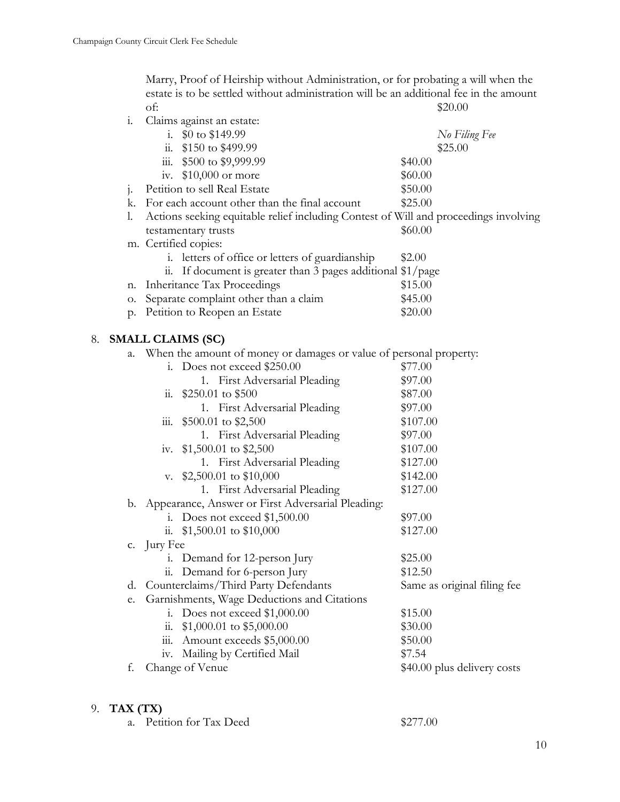Marry, Proof of Heirship without Administration, or for probating a will when the estate is to be settled without administration will be an additional fee in the amount of:  $$20.00$ 

| i.                   |          | Claims against an estate:                                                            |                             |  |
|----------------------|----------|--------------------------------------------------------------------------------------|-----------------------------|--|
|                      |          | i. $$0 \text{ to } $149.99$                                                          | No Filing Fee               |  |
|                      |          | ii. $$150 \text{ to } $499.99$                                                       | \$25.00                     |  |
|                      |          | iii. \$500 to \$9,999.99                                                             | \$40.00                     |  |
|                      |          | iv. $$10,000$ or more                                                                | \$60.00                     |  |
| j.                   |          | Petition to sell Real Estate                                                         | \$50.00                     |  |
|                      |          | k. For each account other than the final account                                     | \$25.00                     |  |
| 1.                   |          | Actions seeking equitable relief including Contest of Will and proceedings involving |                             |  |
|                      |          | testamentary trusts                                                                  | \$60.00                     |  |
|                      |          | m. Certified copies:                                                                 |                             |  |
|                      |          | i. letters of office or letters of guardianship                                      | \$2.00                      |  |
|                      |          | ii. If document is greater than 3 pages additional $\frac{1}{2}$ page                |                             |  |
| n.                   |          | <b>Inheritance Tax Proceedings</b>                                                   | \$15.00                     |  |
| О.                   |          | Separate complaint other than a claim                                                | \$45.00                     |  |
|                      |          | p. Petition to Reopen an Estate                                                      | \$20.00                     |  |
| 8. SMALL CLAIMS (SC) |          |                                                                                      |                             |  |
| a.                   |          | When the amount of money or damages or value of personal property:                   |                             |  |
|                      |          | i. Does not exceed \$250.00                                                          | \$77.00                     |  |
|                      |          | 1. First Adversarial Pleading                                                        | \$97.00                     |  |
|                      |          | ii. $$250.01$ to $$500$                                                              | \$87.00                     |  |
|                      |          | 1. First Adversarial Pleading                                                        | \$97.00                     |  |
|                      |          | iii. $$500.01$ to $$2,500$                                                           | \$107.00                    |  |
|                      |          | 1. First Adversarial Pleading                                                        | \$97.00                     |  |
|                      |          | iv. $$1,500.01$ to $$2,500$                                                          | \$107.00                    |  |
|                      |          | 1. First Adversarial Pleading                                                        | \$127.00                    |  |
|                      |          | v. $$2,500.01$ to $$10,000$                                                          | \$142.00                    |  |
|                      |          | 1. First Adversarial Pleading                                                        | \$127.00                    |  |
|                      |          | b. Appearance, Answer or First Adversarial Pleading:                                 |                             |  |
|                      |          | i. Does not exceed $$1,500.00$                                                       | \$97.00                     |  |
|                      |          | ii. $$1,500.01$ to $$10,000$                                                         | \$127.00                    |  |
| C.                   | Jury Fee |                                                                                      |                             |  |
|                      |          | i. Demand for 12-person Jury                                                         | \$25.00                     |  |
|                      |          | ii. Demand for 6-person Jury                                                         | \$12.50                     |  |
| d.                   |          | Counterclaims/Third Party Defendants                                                 | Same as original filing fee |  |
| e.                   |          | Garnishments, Wage Deductions and Citations                                          |                             |  |
|                      | i.       | Does not exceed \$1,000.00                                                           | \$15.00                     |  |
|                      | 11.      | $$1,000.01$ to $$5,000.00$                                                           | \$30.00                     |  |
|                      | 111.     | Amount exceeds \$5,000.00                                                            | \$50.00                     |  |
|                      | 1V.      | Mailing by Certified Mail                                                            | \$7.54                      |  |
| f.                   |          | Change of Venue                                                                      | \$40.00 plus delivery costs |  |

# 9. **TAX (TX)**

| a. Petition for Tax Deed | \$277.00 |
|--------------------------|----------|
|--------------------------|----------|

10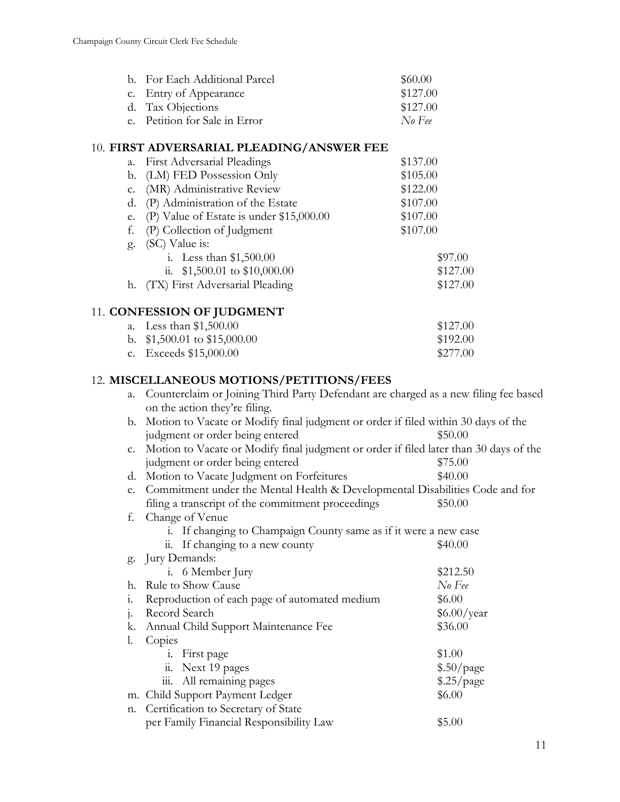| b. For Each Additional Parcel | \$60.00  |
|-------------------------------|----------|
| c. Entry of Appearance        | \$127.00 |
| d. Tax Objections             | \$127.00 |
| e. Petition for Sale in Error | No Fee   |

### 10. **FIRST ADVERSARIAL PLEADING/ANSWER FEE**

| a. | <b>First Adversarial Pleadings</b>       | \$137.00 |
|----|------------------------------------------|----------|
| b. | (LM) FED Possession Only                 | \$105.00 |
| c. | (MR) Administrative Review               | \$122.00 |
| d. | (P) Administration of the Estate         | \$107.00 |
| e. | (P) Value of Estate is under \$15,000.00 | \$107.00 |
| f. | (P) Collection of Judgment               | \$107.00 |
| g. | (SC) Value is:                           |          |
|    | i. Less than $$1,500.00$                 | \$97.00  |
|    | ii. $$1,500.01$ to $$10,000.00$          | \$127.00 |
| h. | (TX) First Adversarial Pleading          | \$127.00 |
|    | 11. CONFESSION OF JUDGMENT               |          |
| a. | Less than $$1,500.00$                    | \$127.00 |
|    | b. $$1,500.01$ to $$15,000.00$           | \$192.00 |

c. Exceeds \$15,000.00 \$277.00

# 12. **MISCELLANEOUS MOTIONS/PETITIONS/FEES**

| a.    | Counterclaim or Joining Third Party Defendant are charged as a new filing fee based   |             |  |
|-------|---------------------------------------------------------------------------------------|-------------|--|
|       | on the action they're filing.                                                         |             |  |
| b.    | Motion to Vacate or Modify final judgment or order if filed within 30 days of the     |             |  |
|       | judgment or order being entered                                                       | \$50.00     |  |
| C.    | Motion to Vacate or Modify final judgment or order if filed later than 30 days of the |             |  |
|       | judgment or order being entered                                                       | \$75.00     |  |
| d.    | Motion to Vacate Judgment on Forfeitures                                              | \$40.00     |  |
| e.    | Commitment under the Mental Health & Developmental Disabilities Code and for          |             |  |
|       | filing a transcript of the commitment proceedings                                     | \$50.00     |  |
| f.    | Change of Venue                                                                       |             |  |
|       | i. If changing to Champaign County same as if it were a new case                      |             |  |
|       | ii. If changing to a new county                                                       | \$40.00     |  |
|       | g. Jury Demands:                                                                      |             |  |
|       | i. 6 Member Jury                                                                      | \$212.50    |  |
| h.    | Rule to Show Cause                                                                    | $No$ Fee    |  |
| 1.    | Reproduction of each page of automated medium                                         | \$6.00      |  |
| $1 -$ | Record Search                                                                         | \$6.00/year |  |
| k.    | Annual Child Support Maintenance Fee                                                  | \$36.00     |  |
| l.    | Copies                                                                                |             |  |
|       | i. First page                                                                         | \$1.00      |  |
|       | ii. Next 19 pages                                                                     | \$.50/page  |  |
|       | iii. All remaining pages                                                              | \$.25/page  |  |
|       | m. Child Support Payment Ledger                                                       | \$6.00      |  |
| n.    | Certification to Secretary of State                                                   |             |  |
|       | per Family Financial Responsibility Law                                               | \$5.00      |  |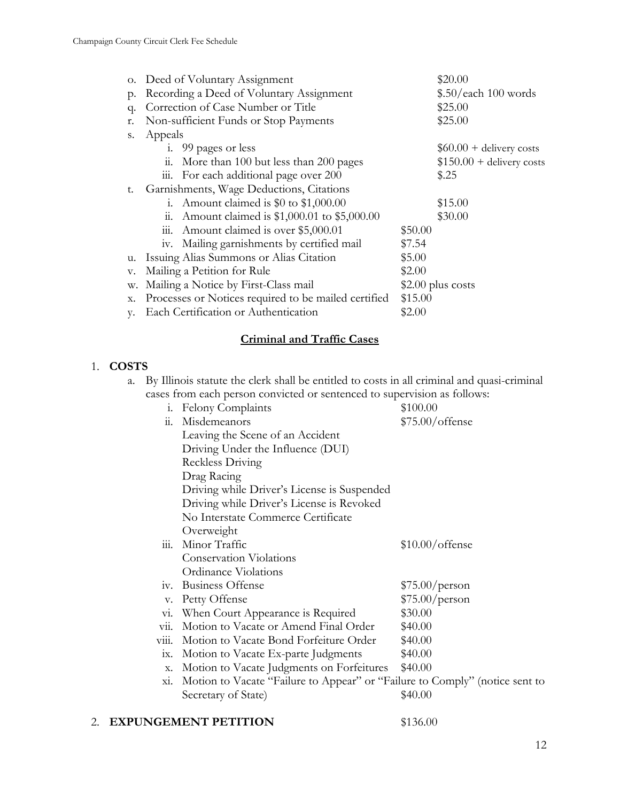|    | o. Deed of Voluntary Assignment                                 | \$20.00                    |  |
|----|-----------------------------------------------------------------|----------------------------|--|
| p. | Recording a Deed of Voluntary Assignment                        | \$.50/each 100 words       |  |
| q. | Correction of Case Number or Title                              | \$25.00                    |  |
| r. | Non-sufficient Funds or Stop Payments                           | \$25.00                    |  |
| S. | Appeals                                                         |                            |  |
|    | i. 99 pages or less                                             | $$60.00 +$ delivery costs  |  |
|    | More than 100 but less than 200 pages<br>11.                    | $$150.00 +$ delivery costs |  |
|    | iii. For each additional page over 200                          | \$.25                      |  |
| t. | Garnishments, Wage Deductions, Citations                        |                            |  |
|    | Amount claimed is \$0 to \$1,000.00<br>1.                       | \$15.00                    |  |
|    | Amount claimed is \$1,000.01 to \$5,000.00<br>11.               | \$30.00                    |  |
|    | Amount claimed is over \$5,000.01<br>111.                       | \$50.00                    |  |
|    | iv. Mailing garnishments by certified mail                      | \$7.54                     |  |
|    | u. Issuing Alias Summons or Alias Citation                      | \$5.00                     |  |
| v. | Mailing a Petition for Rule<br>\$2.00                           |                            |  |
| w. | Mailing a Notice by First-Class mail<br>$$2.00$ plus costs      |                            |  |
| х. | Processes or Notices required to be mailed certified<br>\$15.00 |                            |  |
| V. | Each Certification or Authentication                            | \$2.00                     |  |

# **Criminal and Traffic Cases**

# 1. **COSTS**

| a. By Illinois statute the clerk shall be entitled to costs in all criminal and quasi-criminal |
|------------------------------------------------------------------------------------------------|
| cases from each person convicted or sentenced to supervision as follows:                       |

| 1.                          | Felony Complaints                                                           | \$100.00          |
|-----------------------------|-----------------------------------------------------------------------------|-------------------|
| $\dddot{a}$ .               | Misdemeanors                                                                | $$75.00/$ offense |
|                             | Leaving the Scene of an Accident                                            |                   |
|                             | Driving Under the Influence (DUI)                                           |                   |
|                             | Reckless Driving                                                            |                   |
|                             | Drag Racing                                                                 |                   |
|                             | Driving while Driver's License is Suspended                                 |                   |
|                             | Driving while Driver's License is Revoked                                   |                   |
|                             | No Interstate Commerce Certificate                                          |                   |
|                             | Overweight                                                                  |                   |
| 111.                        | Minor Traffic                                                               | $$10.00/$ offense |
|                             | <b>Conservation Violations</b>                                              |                   |
|                             | <b>Ordinance Violations</b>                                                 |                   |
| 1V <sub>1</sub>             | <b>Business Offense</b>                                                     | \$75.00/person    |
| V.                          | Petty Offense                                                               | \$75.00/person    |
| V1.                         | When Court Appearance is Required                                           | \$30.00           |
| $\overline{\mathrm{vii}}$ . | Motion to Vacate or Amend Final Order                                       | \$40.00           |
| viii.                       | Motion to Vacate Bond Forfeiture Order                                      | \$40.00           |
| 1X.                         | Motion to Vacate Ex-parte Judgments                                         | \$40.00           |
| X.                          | Motion to Vacate Judgments on Forfeitures                                   | \$40.00           |
| X1.                         | Motion to Vacate "Failure to Appear" or "Failure to Comply" (notice sent to |                   |
|                             | Secretary of State)                                                         | \$40.00           |

### 2. **EXPUNGEMENT PETITION** \$136.00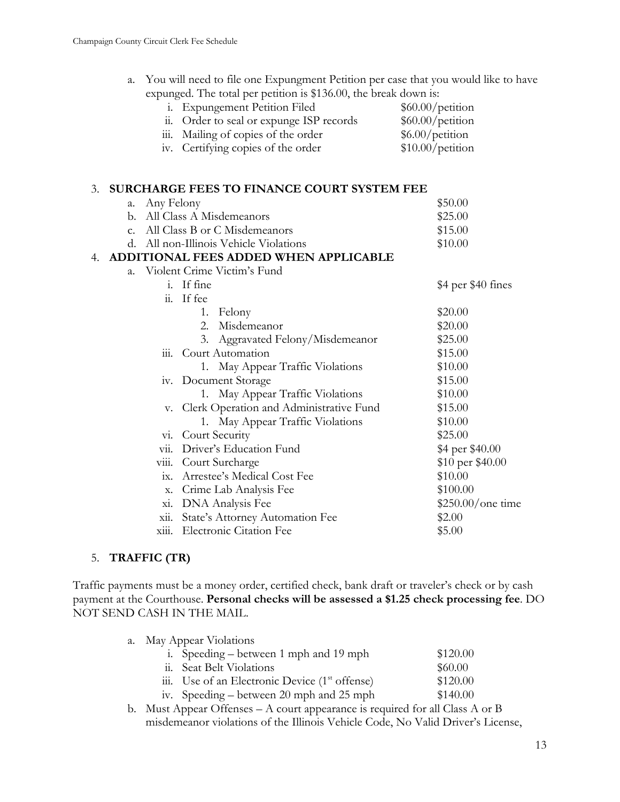| a. You will need to file one Expungment Petition per case that you would like to have |
|---------------------------------------------------------------------------------------|
| expunged. The total per petition is \$136.00, the break down is:                      |

| <i>i.</i> Expungement Petition Filed     | $$60.00/$ petition |
|------------------------------------------|--------------------|
| ii. Order to seal or expunge ISP records | $$60.00/$ petition |
| iii. Mailing of copies of the order      | \$6.00/petition    |
| iv. Certifying copies of the order       | $$10.00/$ petition |

### 3. **SURCHARGE FEES TO FINANCE COURT SYSTEM FEE**

|    | Any Felony<br>a.             |                                            | \$50.00            |
|----|------------------------------|--------------------------------------------|--------------------|
|    | b.                           | All Class A Misdemeanors                   | \$25.00            |
|    | C.                           | All Class B or C Misdemeanors              | \$15.00            |
|    | d.                           | All non-Illinois Vehicle Violations        | \$10.00            |
| 4. |                              | ADDITIONAL FEES ADDED WHEN APPLICABLE      |                    |
|    | $a_{\cdot}$                  | Violent Crime Victim's Fund                |                    |
|    |                              | i. If fine                                 | \$4 per \$40 fines |
|    | $\dddot{\mathbf{11}}$ .      | If fee                                     |                    |
|    |                              | 1.<br>Felony                               | \$20.00            |
|    |                              | Misdemeanor<br>2.                          | \$20.00            |
|    |                              | Aggravated Felony/Misdemeanor<br>3.        | \$25.00            |
|    | 111.                         | Court Automation                           | \$15.00            |
|    |                              | 1. May Appear Traffic Violations           | \$10.00            |
|    |                              | iv. Document Storage                       | \$15.00            |
|    |                              | 1. May Appear Traffic Violations           | \$10.00            |
|    |                              | v. Clerk Operation and Administrative Fund | \$15.00            |
|    |                              | 1. May Appear Traffic Violations           | \$10.00            |
|    |                              | vi. Court Security                         | \$25.00            |
|    | $\overline{\text{vii}}$ .    | Driver's Education Fund                    | \$4 per \$40.00    |
|    | $\overline{\mathrm{viii}}$ . | Court Surcharge                            | \$10 per \$40.00   |
|    | 1X.                          | Arrestee's Medical Cost Fee                | \$10.00            |
|    | X.                           | Crime Lab Analysis Fee                     | \$100.00           |
|    | X1.                          | DNA Analysis Fee                           | \$250.00/one time  |
|    | X11.                         | State's Attorney Automation Fee            | \$2.00             |
|    | xiii.                        | <b>Electronic Citation Fee</b>             | \$5.00             |

# 5. **TRAFFIC (TR)**

Traffic payments must be a money order, certified check, bank draft or traveler's check or by cash payment at the Courthouse. **Personal checks will be assessed a \$1.25 check processing fee**. DO NOT SEND CASH IN THE MAIL.

| a. May Appear Violations |                                                  |  |          |
|--------------------------|--------------------------------------------------|--|----------|
|                          | i. Speeding – between 1 mph and 19 mph           |  | \$120.00 |
|                          | ii. Seat Belt Violations                         |  | \$60.00  |
|                          | iii. Use of an Electronic Device $(1st$ offense) |  | \$120.00 |
|                          | iv. Speeding – between 20 mph and 25 mph         |  | \$140.00 |
|                          |                                                  |  |          |

b. Must Appear Offenses – A court appearance is required for all Class A or B misdemeanor violations of the Illinois Vehicle Code, No Valid Driver's License,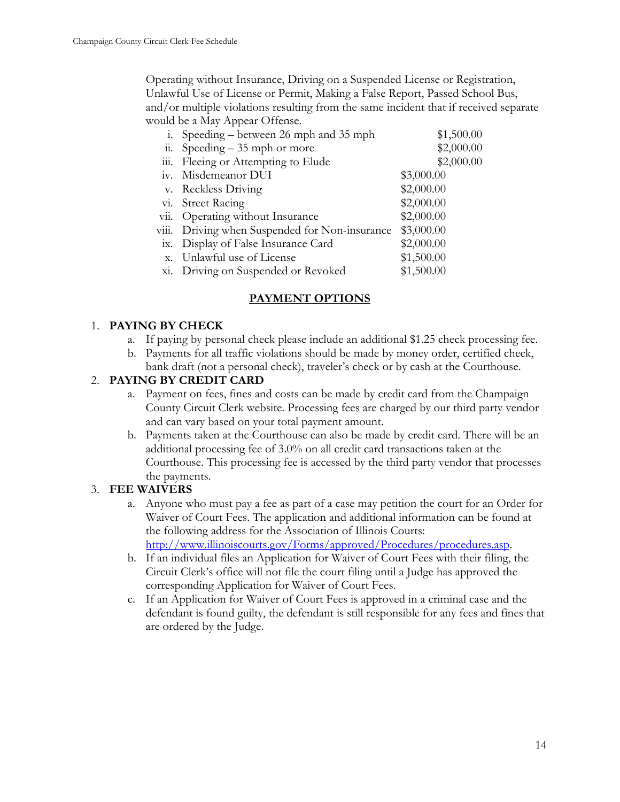Operating without Insurance, Driving on a Suspended License or Registration, Unlawful Use of License or Permit, Making a False Report, Passed School Bus, and/or multiple violations resulting from the same incident that if received separate would be a May Appear Offense.

|                        | i. Speeding – between 26 mph and 35 mph        | \$1,500.00 |
|------------------------|------------------------------------------------|------------|
| $\dddot{\mathbf{u}}$ . | Speeding $-35$ mph or more                     | \$2,000.00 |
|                        | iii. Fleeing or Attempting to Elude            | \$2,000.00 |
|                        | iv. Misdemeanor DUI                            | \$3,000.00 |
|                        | v. Reckless Driving                            | \$2,000.00 |
|                        | vi. Street Racing                              | \$2,000.00 |
|                        | vii. Operating without Insurance               | \$2,000.00 |
|                        | viii. Driving when Suspended for Non-insurance | \$3,000.00 |
|                        | ix. Display of False Insurance Card            | \$2,000.00 |
|                        | x. Unlawful use of License                     | \$1,500.00 |
|                        | xi. Driving on Suspended or Revoked            | \$1,500.00 |

# **PAYMENT OPTIONS**

# 1. **PAYING BY CHECK**

- a. If paying by personal check please include an additional \$1.25 check processing fee.
- b. Payments for all traffic violations should be made by money order, certified check, bank draft (not a personal check), traveler's check or by cash at the Courthouse.

# 2. **PAYING BY CREDIT CARD**

- a. Payment on fees, fines and costs can be made by credit card from the Champaign County Circuit Clerk website. Processing fees are charged by our third party vendor and can vary based on your total payment amount.
- b. Payments taken at the Courthouse can also be made by credit card. There will be an additional processing fee of 3.0% on all credit card transactions taken at the Courthouse. This processing fee is accessed by the third party vendor that processes the payments.

# 3. **FEE WAIVERS**

- a. Anyone who must pay a fee as part of a case may petition the court for an Order for Waiver of Court Fees. The application and additional information can be found at the following address for the Association of Illinois Courts: http://www.illinoiscourts.gov/Forms/approved/Procedures/procedures.asp.
- b. If an individual files an Application for Waiver of Court Fees with their filing, the Circuit Clerk's office will not file the court filing until a Judge has approved the corresponding Application for Waiver of Court Fees.
- c. If an Application for Waiver of Court Fees is approved in a criminal case and the defendant is found guilty, the defendant is still responsible for any fees and fines that are ordered by the Judge.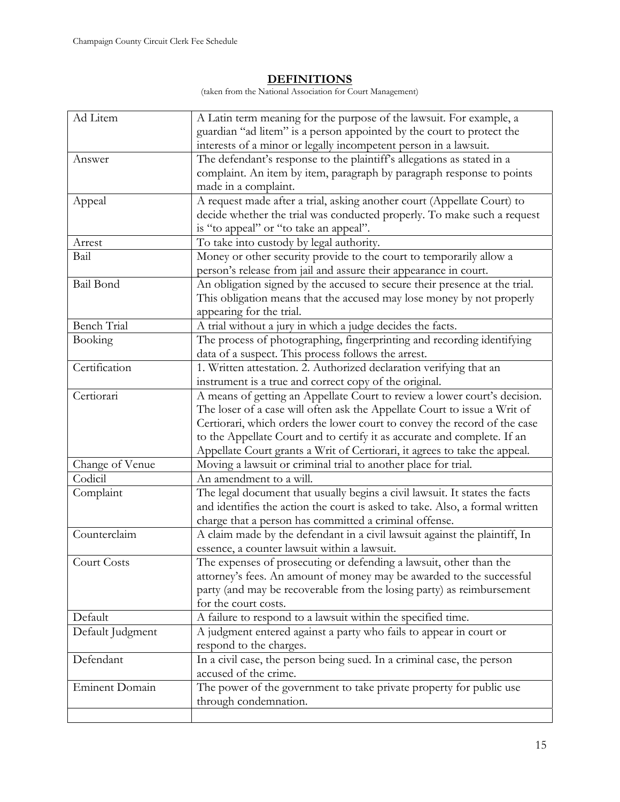# **DEFINITIONS**

(taken from the National Association for Court Management)

| Ad Litem           | A Latin term meaning for the purpose of the lawsuit. For example, a          |
|--------------------|------------------------------------------------------------------------------|
|                    | guardian "ad litem" is a person appointed by the court to protect the        |
|                    | interests of a minor or legally incompetent person in a lawsuit.             |
| Answer             | The defendant's response to the plaintiff's allegations as stated in a       |
|                    | complaint. An item by item, paragraph by paragraph response to points        |
|                    | made in a complaint.                                                         |
| Appeal             | A request made after a trial, asking another court (Appellate Court) to      |
|                    | decide whether the trial was conducted properly. To make such a request      |
|                    | is "to appeal" or "to take an appeal".                                       |
| Arrest             | To take into custody by legal authority.                                     |
| Bail               | Money or other security provide to the court to temporarily allow a          |
|                    | person's release from jail and assure their appearance in court.             |
| Bail Bond          | An obligation signed by the accused to secure their presence at the trial.   |
|                    | This obligation means that the accused may lose money by not properly        |
|                    | appearing for the trial.                                                     |
| <b>Bench Trial</b> | A trial without a jury in which a judge decides the facts.                   |
| Booking            | The process of photographing, fingerprinting and recording identifying       |
|                    | data of a suspect. This process follows the arrest.                          |
| Certification      | 1. Written attestation. 2. Authorized declaration verifying that an          |
|                    | instrument is a true and correct copy of the original.                       |
| Certiorari         | A means of getting an Appellate Court to review a lower court's decision.    |
|                    | The loser of a case will often ask the Appellate Court to issue a Writ of    |
|                    | Certiorari, which orders the lower court to convey the record of the case    |
|                    | to the Appellate Court and to certify it as accurate and complete. If an     |
|                    | Appellate Court grants a Writ of Certiorari, it agrees to take the appeal.   |
| Change of Venue    | Moving a lawsuit or criminal trial to another place for trial.               |
| Codicil            | An amendment to a will.                                                      |
| Complaint          | The legal document that usually begins a civil lawsuit. It states the facts  |
|                    | and identifies the action the court is asked to take. Also, a formal written |
|                    | charge that a person has committed a criminal offense.                       |
| Counterclaim       | A claim made by the defendant in a civil lawsuit against the plaintiff, In   |
|                    | essence, a counter lawsuit within a lawsuit.                                 |
| <b>Court Costs</b> | The expenses of prosecuting or defending a lawsuit, other than the           |
|                    | attorney's fees. An amount of money may be awarded to the successful         |
|                    | party (and may be recoverable from the losing party) as reimbursement        |
|                    | for the court costs.                                                         |
| Default            | A failure to respond to a lawsuit within the specified time.                 |
| Default Judgment   | A judgment entered against a party who fails to appear in court or           |
|                    | respond to the charges.                                                      |
| Defendant          | In a civil case, the person being sued. In a criminal case, the person       |
|                    | accused of the crime.                                                        |
| Eminent Domain     | The power of the government to take private property for public use          |
|                    | through condemnation.                                                        |
|                    |                                                                              |
|                    |                                                                              |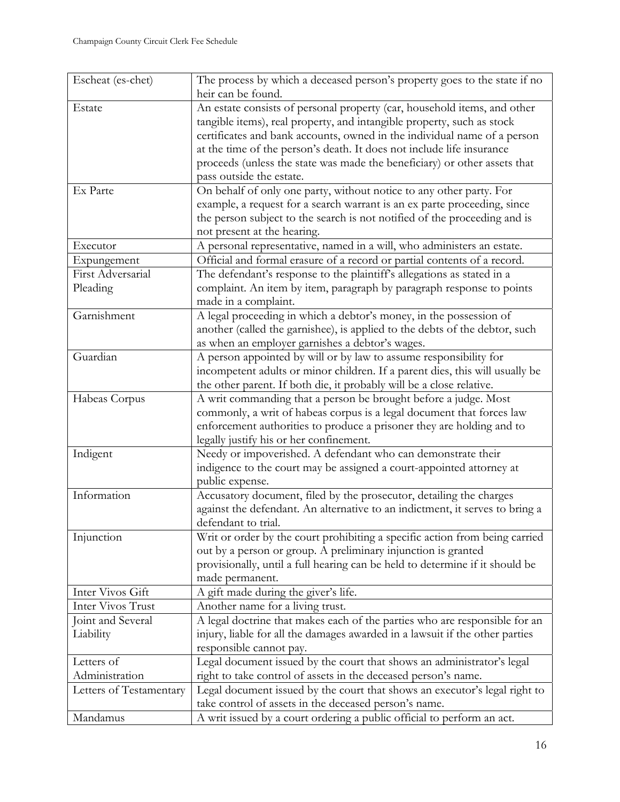| Escheat (es-chet)                                                                                     | The process by which a deceased person's property goes to the state if no    |
|-------------------------------------------------------------------------------------------------------|------------------------------------------------------------------------------|
|                                                                                                       | heir can be found.                                                           |
| Estate                                                                                                | An estate consists of personal property (car, household items, and other     |
|                                                                                                       | tangible items), real property, and intangible property, such as stock       |
|                                                                                                       | certificates and bank accounts, owned in the individual name of a person     |
|                                                                                                       | at the time of the person's death. It does not include life insurance        |
|                                                                                                       | proceeds (unless the state was made the beneficiary) or other assets that    |
|                                                                                                       | pass outside the estate.                                                     |
| Ex Parte                                                                                              | On behalf of only one party, without notice to any other party. For          |
|                                                                                                       | example, a request for a search warrant is an ex parte proceeding, since     |
|                                                                                                       | the person subject to the search is not notified of the proceeding and is    |
|                                                                                                       | not present at the hearing.                                                  |
| Executor                                                                                              | A personal representative, named in a will, who administers an estate.       |
| Expungement                                                                                           | Official and formal erasure of a record or partial contents of a record.     |
| First Adversarial                                                                                     | The defendant's response to the plaintiff's allegations as stated in a       |
| Pleading                                                                                              | complaint. An item by item, paragraph by paragraph response to points        |
|                                                                                                       | made in a complaint.                                                         |
| Garnishment                                                                                           | A legal proceeding in which a debtor's money, in the possession of           |
|                                                                                                       | another (called the garnishee), is applied to the debts of the debtor, such  |
|                                                                                                       | as when an employer garnishes a debtor's wages.                              |
| Guardian                                                                                              | A person appointed by will or by law to assume responsibility for            |
|                                                                                                       | incompetent adults or minor children. If a parent dies, this will usually be |
|                                                                                                       | the other parent. If both die, it probably will be a close relative.         |
| Habeas Corpus                                                                                         | A writ commanding that a person be brought before a judge. Most              |
|                                                                                                       | commonly, a writ of habeas corpus is a legal document that forces law        |
|                                                                                                       | enforcement authorities to produce a prisoner they are holding and to        |
|                                                                                                       | legally justify his or her confinement.                                      |
| Indigent                                                                                              | Needy or impoverished. A defendant who can demonstrate their                 |
|                                                                                                       |                                                                              |
|                                                                                                       | indigence to the court may be assigned a court-appointed attorney at         |
|                                                                                                       | public expense.                                                              |
| Information                                                                                           | Accusatory document, filed by the prosecutor, detailing the charges          |
|                                                                                                       | against the defendant. An alternative to an indictment, it serves to bring a |
|                                                                                                       | defendant to trial.                                                          |
| Injunction                                                                                            | Writ or order by the court prohibiting a specific action from being carried  |
|                                                                                                       | out by a person or group. A preliminary injunction is granted                |
|                                                                                                       | provisionally, until a full hearing can be held to determine if it should be |
|                                                                                                       | made permanent.                                                              |
| Inter Vivos Gift                                                                                      | A gift made during the giver's life.                                         |
| Inter Vivos Trust                                                                                     | Another name for a living trust.                                             |
| Joint and Several                                                                                     | A legal doctrine that makes each of the parties who are responsible for an   |
| Liability                                                                                             | injury, liable for all the damages awarded in a lawsuit if the other parties |
|                                                                                                       | responsible cannot pay.                                                      |
| Letters of                                                                                            | Legal document issued by the court that shows an administrator's legal       |
| Administration                                                                                        | right to take control of assets in the deceased person's name.               |
| Legal document issued by the court that shows an executor's legal right to<br>Letters of Testamentary |                                                                              |
|                                                                                                       | take control of assets in the deceased person's name.                        |
| Mandamus                                                                                              | A writ issued by a court ordering a public official to perform an act.       |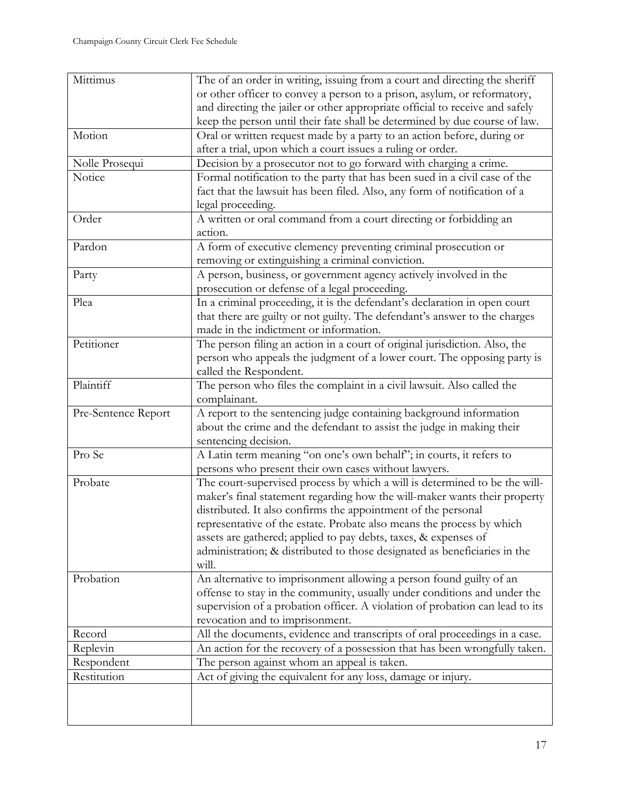| Mittimus            | The of an order in writing, issuing from a court and directing the sheriff   |  |
|---------------------|------------------------------------------------------------------------------|--|
|                     | or other officer to convey a person to a prison, asylum, or reformatory,     |  |
|                     | and directing the jailer or other appropriate official to receive and safely |  |
|                     | keep the person until their fate shall be determined by due course of law.   |  |
| Motion              | Oral or written request made by a party to an action before, during or       |  |
|                     | after a trial, upon which a court issues a ruling or order.                  |  |
| Nolle Prosequi      | Decision by a prosecutor not to go forward with charging a crime.            |  |
| Notice              | Formal notification to the party that has been sued in a civil case of the   |  |
|                     | fact that the lawsuit has been filed. Also, any form of notification of a    |  |
|                     | legal proceeding.                                                            |  |
| Order               | A written or oral command from a court directing or forbidding an            |  |
|                     | action.                                                                      |  |
| Pardon              | A form of executive clemency preventing criminal prosecution or              |  |
|                     | removing or extinguishing a criminal conviction.                             |  |
| Party               | A person, business, or government agency actively involved in the            |  |
|                     | prosecution or defense of a legal proceeding.                                |  |
| Plea                | In a criminal proceeding, it is the defendant's declaration in open court    |  |
|                     | that there are guilty or not guilty. The defendant's answer to the charges   |  |
|                     | made in the indictment or information.                                       |  |
| Petitioner          | The person filing an action in a court of original jurisdiction. Also, the   |  |
|                     | person who appeals the judgment of a lower court. The opposing party is      |  |
|                     | called the Respondent.                                                       |  |
| Plaintiff           | The person who files the complaint in a civil lawsuit. Also called the       |  |
|                     | complainant.                                                                 |  |
| Pre-Sentence Report | A report to the sentencing judge containing background information           |  |
|                     | about the crime and the defendant to assist the judge in making their        |  |
|                     | sentencing decision.                                                         |  |
| Pro Se              | A Latin term meaning "on one's own behalf"; in courts, it refers to          |  |
|                     | persons who present their own cases without lawyers.                         |  |
| Probate             | The court-supervised process by which a will is determined to be the will-   |  |
|                     | maker's final statement regarding how the will-maker wants their property    |  |
|                     | distributed. It also confirms the appointment of the personal                |  |
|                     | representative of the estate. Probate also means the process by which        |  |
|                     | assets are gathered; applied to pay debts, taxes, & expenses of              |  |
|                     | administration; & distributed to those designated as beneficiaries in the    |  |
|                     | will.                                                                        |  |
| Probation           | An alternative to imprisonment allowing a person found guilty of an          |  |
|                     | offense to stay in the community, usually under conditions and under the     |  |
|                     | supervision of a probation officer. A violation of probation can lead to its |  |
|                     | revocation and to imprisonment.                                              |  |
| Record              | All the documents, evidence and transcripts of oral proceedings in a case.   |  |
| Replevin            | An action for the recovery of a possession that has been wrongfully taken.   |  |
| Respondent          | The person against whom an appeal is taken.                                  |  |
| Restitution         | Act of giving the equivalent for any loss, damage or injury.                 |  |
|                     |                                                                              |  |
|                     |                                                                              |  |
|                     |                                                                              |  |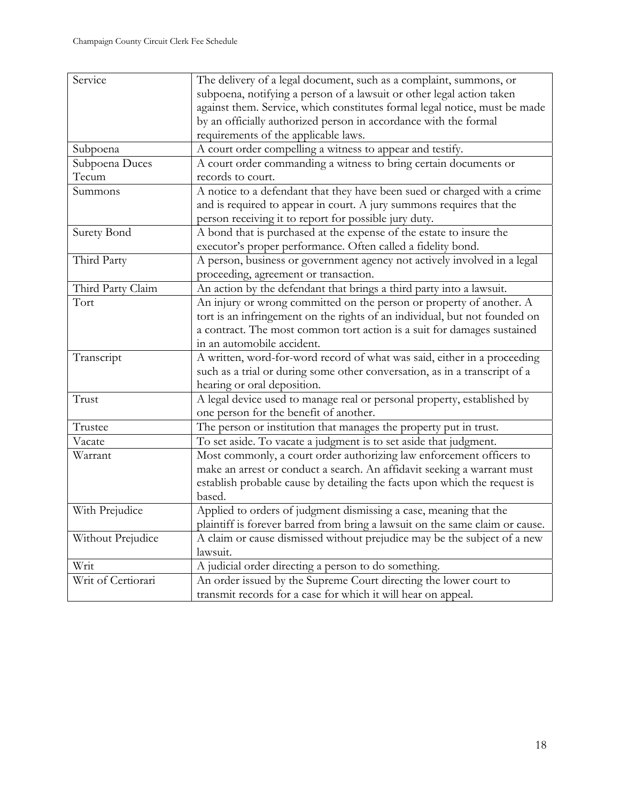| Service            | The delivery of a legal document, such as a complaint, summons, or           |  |
|--------------------|------------------------------------------------------------------------------|--|
|                    | subpoena, notifying a person of a lawsuit or other legal action taken        |  |
|                    | against them. Service, which constitutes formal legal notice, must be made   |  |
|                    | by an officially authorized person in accordance with the formal             |  |
|                    | requirements of the applicable laws.                                         |  |
| Subpoena           | A court order compelling a witness to appear and testify.                    |  |
| Subpoena Duces     | A court order commanding a witness to bring certain documents or             |  |
| Tecum              | records to court.                                                            |  |
| Summons            | A notice to a defendant that they have been sued or charged with a crime     |  |
|                    | and is required to appear in court. A jury summons requires that the         |  |
|                    | person receiving it to report for possible jury duty.                        |  |
| <b>Surety Bond</b> | A bond that is purchased at the expense of the estate to insure the          |  |
|                    | executor's proper performance. Often called a fidelity bond.                 |  |
| Third Party        | A person, business or government agency not actively involved in a legal     |  |
|                    | proceeding, agreement or transaction.                                        |  |
| Third Party Claim  | An action by the defendant that brings a third party into a lawsuit.         |  |
| Tort               | An injury or wrong committed on the person or property of another. A         |  |
|                    | tort is an infringement on the rights of an individual, but not founded on   |  |
|                    | a contract. The most common tort action is a suit for damages sustained      |  |
|                    | in an automobile accident.                                                   |  |
| Transcript         | A written, word-for-word record of what was said, either in a proceeding     |  |
|                    | such as a trial or during some other conversation, as in a transcript of a   |  |
|                    | hearing or oral deposition.                                                  |  |
| Trust              | A legal device used to manage real or personal property, established by      |  |
|                    | one person for the benefit of another.                                       |  |
| Trustee            | The person or institution that manages the property put in trust.            |  |
| Vacate             | To set aside. To vacate a judgment is to set aside that judgment.            |  |
| Warrant            | Most commonly, a court order authorizing law enforcement officers to         |  |
|                    | make an arrest or conduct a search. An affidavit seeking a warrant must      |  |
|                    | establish probable cause by detailing the facts upon which the request is    |  |
|                    | based.                                                                       |  |
| With Prejudice     | Applied to orders of judgment dismissing a case, meaning that the            |  |
|                    | plaintiff is forever barred from bring a lawsuit on the same claim or cause. |  |
| Without Prejudice  | A claim or cause dismissed without prejudice may be the subject of a new     |  |
|                    | lawsuit.                                                                     |  |
| Writ               | A judicial order directing a person to do something.                         |  |
| Writ of Certiorari | An order issued by the Supreme Court directing the lower court to            |  |
|                    | transmit records for a case for which it will hear on appeal.                |  |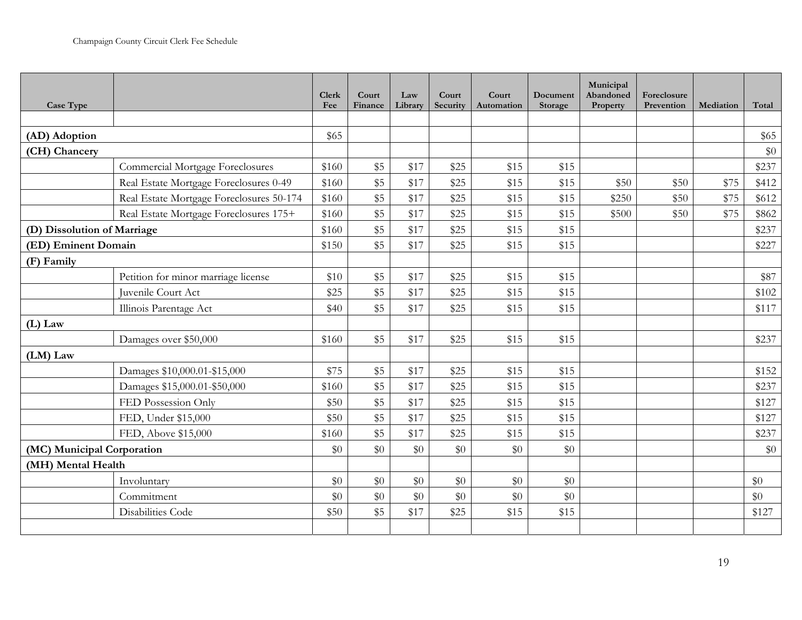| Case Type                   |                                          | <b>Clerk</b><br>Fee | Court<br>Finance | Law<br>Library | Court<br>Security | Court<br>Automation | Document<br>Storage | Municipal<br>Abandoned<br>Property | Foreclosure<br>Prevention | Mediation | Total |
|-----------------------------|------------------------------------------|---------------------|------------------|----------------|-------------------|---------------------|---------------------|------------------------------------|---------------------------|-----------|-------|
|                             |                                          |                     |                  |                |                   |                     |                     |                                    |                           |           |       |
| (AD) Adoption               |                                          |                     |                  |                |                   |                     |                     |                                    |                           |           | \$65  |
| (CH) Chancery               |                                          |                     |                  |                |                   |                     |                     |                                    |                           |           | $\$0$ |
|                             | <b>Commercial Mortgage Foreclosures</b>  | \$160               | \$5              | \$17           | \$25              | \$15                | \$15                |                                    |                           |           | \$237 |
|                             | Real Estate Mortgage Foreclosures 0-49   | \$160               | \$5              | \$17           | \$25              | \$15                | \$15                | \$50                               | \$50                      | \$75      | \$412 |
|                             | Real Estate Mortgage Foreclosures 50-174 | \$160               | \$5              | \$17           | \$25              | \$15                | \$15                | \$250                              | \$50                      | \$75      | \$612 |
|                             | Real Estate Mortgage Foreclosures 175+   | \$160               | \$5              | \$17           | \$25              | \$15                | \$15                | \$500                              | \$50                      | \$75      | \$862 |
| (D) Dissolution of Marriage |                                          | \$160               | \$5              | \$17           | \$25              | \$15                | \$15                |                                    |                           |           | \$237 |
| (ED) Eminent Domain         |                                          | \$150               | \$5              | \$17           | \$25              | \$15                | \$15                |                                    |                           |           | \$227 |
| (F) Family                  |                                          |                     |                  |                |                   |                     |                     |                                    |                           |           |       |
|                             | Petition for minor marriage license      | \$10                | \$5              | \$17           | \$25              | \$15                | \$15                |                                    |                           |           | \$87  |
|                             | Juvenile Court Act                       | \$25                | \$5              | \$17           | \$25              | \$15                | \$15                |                                    |                           |           | \$102 |
|                             | Illinois Parentage Act                   | \$40                | \$5              | \$17           | \$25              | \$15                | \$15                |                                    |                           |           | \$117 |
| $(L)$ Law                   |                                          |                     |                  |                |                   |                     |                     |                                    |                           |           |       |
|                             | Damages over \$50,000                    | \$160               | \$5              | \$17           | \$25              | \$15                | \$15                |                                    |                           |           | \$237 |
| $(LM)$ Law                  |                                          |                     |                  |                |                   |                     |                     |                                    |                           |           |       |
|                             | Damages \$10,000.01-\$15,000             | \$75                | \$5              | \$17           | \$25              | \$15                | \$15                |                                    |                           |           | \$152 |
|                             | Damages \$15,000.01-\$50,000             | \$160               | \$5              | \$17           | \$25              | \$15                | \$15                |                                    |                           |           | \$237 |
|                             | FED Possession Only                      | \$50                | \$5              | \$17           | \$25              | \$15                | \$15                |                                    |                           |           | \$127 |
|                             | FED, Under \$15,000                      | \$50                | \$5              | \$17           | \$25              | \$15                | \$15                |                                    |                           |           | \$127 |
|                             | FED, Above \$15,000                      | \$160               | \$5              | \$17           | \$25              | \$15                | \$15                |                                    |                           |           | \$237 |
| (MC) Municipal Corporation  |                                          | \$0                 | \$0              | \$0            | \$0               | \$0                 | \$0                 |                                    |                           |           | $\$0$ |
| (MH) Mental Health          |                                          |                     |                  |                |                   |                     |                     |                                    |                           |           |       |
|                             | Involuntary                              | \$0                 | \$0              | \$0            | \$0               | \$0                 | \$0                 |                                    |                           |           | \$0   |
|                             | Commitment                               | \$0                 | \$0              | \$0            | $\$0$             | \$0                 | \$0                 |                                    |                           |           | \$0   |
|                             | Disabilities Code                        | \$50                | \$5              | \$17           | \$25              | \$15                | \$15                |                                    |                           |           | \$127 |
|                             |                                          |                     |                  |                |                   |                     |                     |                                    |                           |           |       |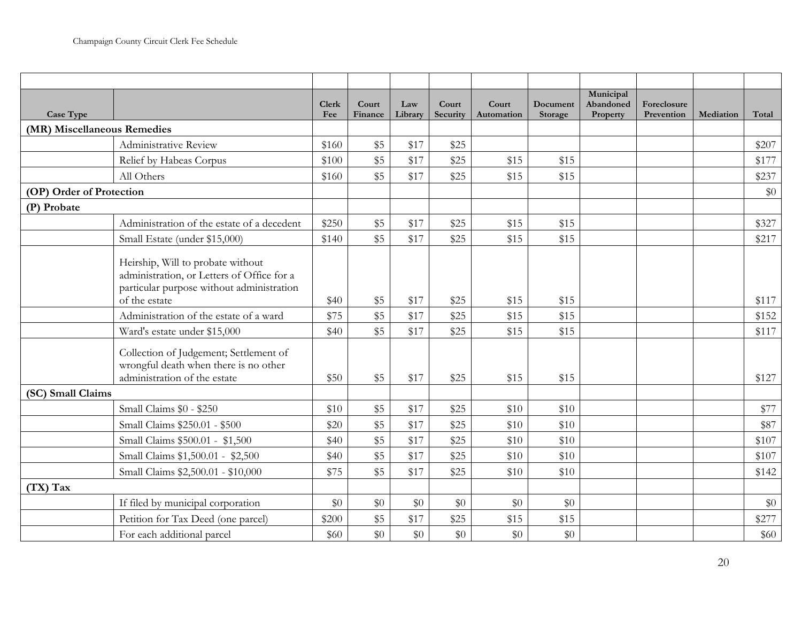| Case Type                   |                                                                                                                                               | <b>Clerk</b><br>Fee | Court<br>Finance | Law<br>Library | Court<br>Security | Court<br>Automation | Document<br>Storage | Municipal<br>Abandoned<br>Property | Foreclosure<br>Prevention | Mediation | Total |
|-----------------------------|-----------------------------------------------------------------------------------------------------------------------------------------------|---------------------|------------------|----------------|-------------------|---------------------|---------------------|------------------------------------|---------------------------|-----------|-------|
| (MR) Miscellaneous Remedies |                                                                                                                                               |                     |                  |                |                   |                     |                     |                                    |                           |           |       |
|                             | Administrative Review                                                                                                                         | \$160               | \$5              | \$17           | \$25              |                     |                     |                                    |                           |           | \$207 |
|                             | Relief by Habeas Corpus                                                                                                                       | \$100               | \$5              | \$17           | \$25              | \$15                | \$15                |                                    |                           |           | \$177 |
|                             | All Others                                                                                                                                    | \$160               | \$5              | \$17           | \$25              | \$15                | \$15                |                                    |                           |           | \$237 |
| (OP) Order of Protection    |                                                                                                                                               |                     |                  |                |                   |                     |                     |                                    |                           |           | \$0   |
| (P) Probate                 |                                                                                                                                               |                     |                  |                |                   |                     |                     |                                    |                           |           |       |
|                             | Administration of the estate of a decedent                                                                                                    | \$250               | \$5              | \$17           | \$25              | \$15                | \$15                |                                    |                           |           | \$327 |
|                             | Small Estate (under \$15,000)                                                                                                                 | \$140               | \$5              | \$17           | \$25              | \$15                | \$15                |                                    |                           |           | \$217 |
|                             | Heirship, Will to probate without<br>administration, or Letters of Office for a<br>particular purpose without administration<br>of the estate | \$40                | \$5              | \$17           | \$25              | \$15                | \$15                |                                    |                           |           | \$117 |
|                             | Administration of the estate of a ward                                                                                                        | \$75                | \$5              | \$17           | \$25              | \$15                | \$15                |                                    |                           |           | \$152 |
|                             | Ward's estate under \$15,000                                                                                                                  | \$40                | \$5              | \$17           | \$25              | \$15                | \$15                |                                    |                           |           | \$117 |
|                             | Collection of Judgement; Settlement of<br>wrongful death when there is no other<br>administration of the estate                               | \$50                | \$5              | \$17           | \$25              | \$15                | \$15                |                                    |                           |           | \$127 |
| (SC) Small Claims           |                                                                                                                                               |                     |                  |                |                   |                     |                     |                                    |                           |           |       |
|                             | Small Claims \$0 - \$250                                                                                                                      | \$10                | \$5              | \$17           | \$25              | \$10                | \$10                |                                    |                           |           | \$77  |
|                             | Small Claims \$250.01 - \$500                                                                                                                 | \$20                | \$5              | \$17           | \$25              | \$10                | \$10                |                                    |                           |           | \$87  |
|                             | Small Claims \$500.01 - \$1,500                                                                                                               | \$40                | \$5              | \$17           | \$25              | \$10                | \$10                |                                    |                           |           | \$107 |
|                             | Small Claims \$1,500.01 - \$2,500                                                                                                             | \$40                | \$5              | \$17           | \$25              | \$10                | \$10                |                                    |                           |           | \$107 |
|                             | Small Claims \$2,500.01 - \$10,000                                                                                                            | \$75                | \$5              | \$17           | \$25              | \$10                | \$10                |                                    |                           |           | \$142 |
| $(TX)$ Tax                  |                                                                                                                                               |                     |                  |                |                   |                     |                     |                                    |                           |           |       |
|                             | If filed by municipal corporation                                                                                                             | \$0                 | \$0              | \$0            | \$0               | \$0                 | \$0                 |                                    |                           |           | \$0   |
|                             | Petition for Tax Deed (one parcel)                                                                                                            | \$200               | \$5              | \$17           | \$25              | \$15                | \$15                |                                    |                           |           | \$277 |
|                             | For each additional parcel                                                                                                                    | \$60                | \$0              | $\$0$          | $\$0$             | $\$0$               | $\$0$               |                                    |                           |           | \$60  |